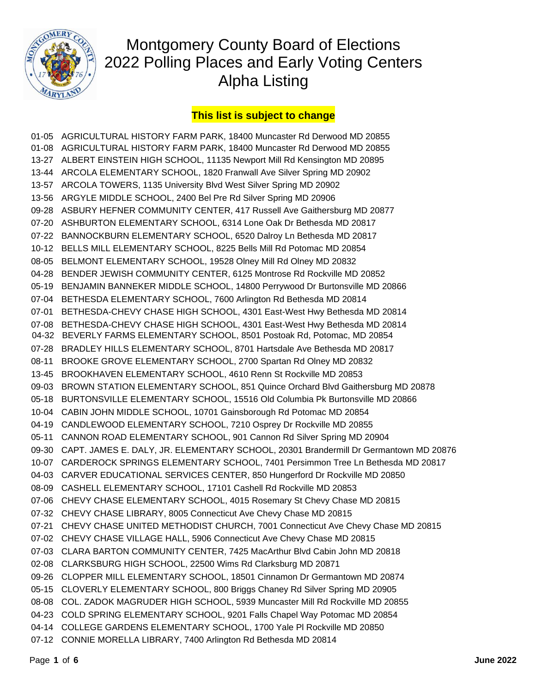

## Montgomery County Board of Elections 2022 Polling Places and Early Voting Centers Alpha Listing

## **This list is subject to change**

01-05 AGRICULTURAL HISTORY FARM PARK, 18400 Muncaster Rd Derwood MD 20855 01-08 AGRICULTURAL HISTORY FARM PARK, 18400 Muncaster Rd Derwood MD 20855 13-27 ALBERT EINSTEIN HIGH SCHOOL, 11135 Newport Mill Rd Kensington MD 20895 13-44 ARCOLA ELEMENTARY SCHOOL, 1820 Franwall Ave Silver Spring MD 20902 13-57 ARCOLA TOWERS, 1135 University Blvd West Silver Spring MD 20902 13-56 ARGYLE MIDDLE SCHOOL, 2400 Bel Pre Rd Silver Spring MD 20906 09-28 ASBURY HEFNER COMMUNITY CENTER, 417 Russell Ave Gaithersburg MD 20877 07-20 ASHBURTON ELEMENTARY SCHOOL, 6314 Lone Oak Dr Bethesda MD 20817 07-22 BANNOCKBURN ELEMENTARY SCHOOL, 6520 Dalroy Ln Bethesda MD 20817 10-12 BELLS MILL ELEMENTARY SCHOOL, 8225 Bells Mill Rd Potomac MD 20854 08-05 BELMONT ELEMENTARY SCHOOL, 19528 Olney Mill Rd Olney MD 20832 04-28 BENDER JEWISH COMMUNITY CENTER, 6125 Montrose Rd Rockville MD 20852 05-19 BENJAMIN BANNEKER MIDDLE SCHOOL, 14800 Perrywood Dr Burtonsville MD 20866 07-04 BETHESDA ELEMENTARY SCHOOL, 7600 Arlington Rd Bethesda MD 20814 07-01 BETHESDA-CHEVY CHASE HIGH SCHOOL, 4301 East-West Hwy Bethesda MD 20814 07-08 BETHESDA-CHEVY CHASE HIGH SCHOOL, 4301 East-West Hwy Bethesda MD 20814 04-32 BEVERLY FARMS ELEMENTARY SCHOOL, 8501 Postoak Rd, Potomac, MD 20854 07-28 BRADLEY HILLS ELEMENTARY SCHOOL, 8701 Hartsdale Ave Bethesda MD 20817 08-11 BROOKE GROVE ELEMENTARY SCHOOL, 2700 Spartan Rd Olney MD 20832 13-45 BROOKHAVEN ELEMENTARY SCHOOL, 4610 Renn St Rockville MD 20853 09-03 BROWN STATION ELEMENTARY SCHOOL, 851 Quince Orchard Blvd Gaithersburg MD 20878 05-18 BURTONSVILLE ELEMENTARY SCHOOL, 15516 Old Columbia Pk Burtonsville MD 20866 10-04 CABIN JOHN MIDDLE SCHOOL, 10701 Gainsborough Rd Potomac MD 20854 04-19 CANDLEWOOD ELEMENTARY SCHOOL, 7210 Osprey Dr Rockville MD 20855 05-11 CANNON ROAD ELEMENTARY SCHOOL, 901 Cannon Rd Silver Spring MD 20904 09-30 CAPT. JAMES E. DALY, JR. ELEMENTARY SCHOOL, 20301 Brandermill Dr Germantown MD 20876 10-07 CARDEROCK SPRINGS ELEMENTARY SCHOOL, 7401 Persimmon Tree Ln Bethesda MD 20817 04-03 CARVER EDUCATIONAL SERVICES CENTER, 850 Hungerford Dr Rockville MD 20850 08-09 CASHELL ELEMENTARY SCHOOL, 17101 Cashell Rd Rockville MD 20853 07-06 CHEVY CHASE ELEMENTARY SCHOOL, 4015 Rosemary St Chevy Chase MD 20815 07-32 CHEVY CHASE LIBRARY, 8005 Connecticut Ave Chevy Chase MD 20815 07-21 CHEVY CHASE UNITED METHODIST CHURCH, 7001 Connecticut Ave Chevy Chase MD 20815 07-02 CHEVY CHASE VILLAGE HALL, 5906 Connecticut Ave Chevy Chase MD 20815 07-03 CLARA BARTON COMMUNITY CENTER, 7425 MacArthur Blvd Cabin John MD 20818 02-08 CLARKSBURG HIGH SCHOOL, 22500 Wims Rd Clarksburg MD 20871 09-26 CLOPPER MILL ELEMENTARY SCHOOL, 18501 Cinnamon Dr Germantown MD 20874 05-15 CLOVERLY ELEMENTARY SCHOOL, 800 Briggs Chaney Rd Silver Spring MD 20905 08-08 COL. ZADOK MAGRUDER HIGH SCHOOL, 5939 Muncaster Mill Rd Rockville MD 20855 04-23 COLD SPRING ELEMENTARY SCHOOL, 9201 Falls Chapel Way Potomac MD 20854 04-14 COLLEGE GARDENS ELEMENTARY SCHOOL, 1700 Yale Pl Rockville MD 20850 07-12 CONNIE MORELLA LIBRARY, 7400 Arlington Rd Bethesda MD 20814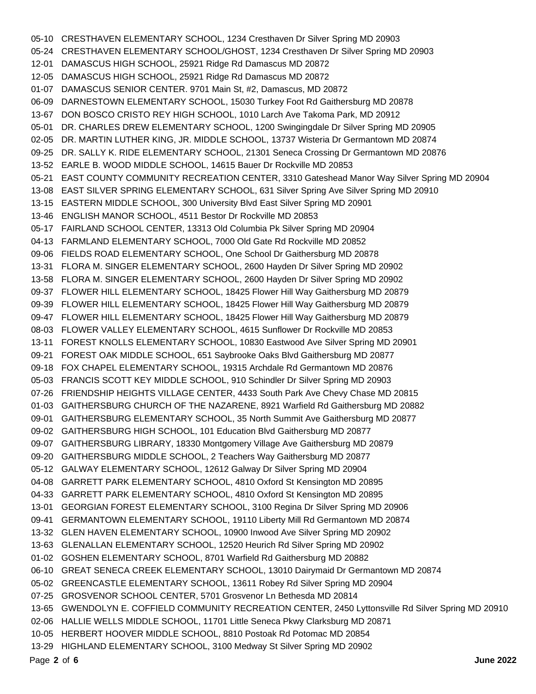Page **2** of **6 June 2022** 05-10 CRESTHAVEN ELEMENTARY SCHOOL, 1234 Cresthaven Dr Silver Spring MD 20903 05-24 CRESTHAVEN ELEMENTARY SCHOOL/GHOST, 1234 Cresthaven Dr Silver Spring MD 20903 12-01 DAMASCUS HIGH SCHOOL, 25921 Ridge Rd Damascus MD 20872 12-05 DAMASCUS HIGH SCHOOL, 25921 Ridge Rd Damascus MD 20872 01-07 DAMASCUS SENIOR CENTER. 9701 Main St, #2, Damascus, MD 20872 06-09 DARNESTOWN ELEMENTARY SCHOOL, 15030 Turkey Foot Rd Gaithersburg MD 20878 13-67 DON BOSCO CRISTO REY HIGH SCHOOL, 1010 Larch Ave Takoma Park, MD 20912 05-01 DR. CHARLES DREW ELEMENTARY SCHOOL, 1200 Swingingdale Dr Silver Spring MD 20905 02-05 DR. MARTIN LUTHER KING, JR. MIDDLE SCHOOL, 13737 Wisteria Dr Germantown MD 20874 09-25 DR. SALLY K. RIDE ELEMENTARY SCHOOL, 21301 Seneca Crossing Dr Germantown MD 20876 13-52 EARLE B. WOOD MIDDLE SCHOOL, 14615 Bauer Dr Rockville MD 20853 05-21 EAST COUNTY COMMUNITY RECREATION CENTER, 3310 Gateshead Manor Way Silver Spring MD 20904 13-08 EAST SILVER SPRING ELEMENTARY SCHOOL, 631 Silver Spring Ave Silver Spring MD 20910 13-15 EASTERN MIDDLE SCHOOL, 300 University Blvd East Silver Spring MD 20901 13-46 ENGLISH MANOR SCHOOL, 4511 Bestor Dr Rockville MD 20853 05-17 FAIRLAND SCHOOL CENTER, 13313 Old Columbia Pk Silver Spring MD 20904 04-13 FARMLAND ELEMENTARY SCHOOL, 7000 Old Gate Rd Rockville MD 20852 09-06 FIELDS ROAD ELEMENTARY SCHOOL, One School Dr Gaithersburg MD 20878 13-31 FLORA M. SINGER ELEMENTARY SCHOOL, 2600 Hayden Dr Silver Spring MD 20902 13-58 FLORA M. SINGER ELEMENTARY SCHOOL, 2600 Hayden Dr Silver Spring MD 20902 09-37 FLOWER HILL ELEMENTARY SCHOOL, 18425 Flower Hill Way Gaithersburg MD 20879 09-39 FLOWER HILL ELEMENTARY SCHOOL, 18425 Flower Hill Way Gaithersburg MD 20879 09-47 FLOWER HILL ELEMENTARY SCHOOL, 18425 Flower Hill Way Gaithersburg MD 20879 08-03 FLOWER VALLEY ELEMENTARY SCHOOL, 4615 Sunflower Dr Rockville MD 20853 13-11 FOREST KNOLLS ELEMENTARY SCHOOL, 10830 Eastwood Ave Silver Spring MD 20901 09-21 FOREST OAK MIDDLE SCHOOL, 651 Saybrooke Oaks Blvd Gaithersburg MD 20877 09-18 FOX CHAPEL ELEMENTARY SCHOOL, 19315 Archdale Rd Germantown MD 20876 05-03 FRANCIS SCOTT KEY MIDDLE SCHOOL, 910 Schindler Dr Silver Spring MD 20903 07-26 FRIENDSHIP HEIGHTS VILLAGE CENTER, 4433 South Park Ave Chevy Chase MD 20815 01-03 GAITHERSBURG CHURCH OF THE NAZARENE, 8921 Warfield Rd Gaithersburg MD 20882 09-01 GAITHERSBURG ELEMENTARY SCHOOL, 35 North Summit Ave Gaithersburg MD 20877 09-02 GAITHERSBURG HIGH SCHOOL, 101 Education Blvd Gaithersburg MD 20877 09-07 GAITHERSBURG LIBRARY, 18330 Montgomery Village Ave Gaithersburg MD 20879 09-20 GAITHERSBURG MIDDLE SCHOOL, 2 Teachers Way Gaithersburg MD 20877 05-12 GALWAY ELEMENTARY SCHOOL, 12612 Galway Dr Silver Spring MD 20904 04-08 GARRETT PARK ELEMENTARY SCHOOL, 4810 Oxford St Kensington MD 20895 04-33 GARRETT PARK ELEMENTARY SCHOOL, 4810 Oxford St Kensington MD 20895 13-01 GEORGIAN FOREST ELEMENTARY SCHOOL, 3100 Regina Dr Silver Spring MD 20906 09-41 GERMANTOWN ELEMENTARY SCHOOL, 19110 Liberty Mill Rd Germantown MD 20874 13-32 GLEN HAVEN ELEMENTARY SCHOOL, 10900 Inwood Ave Silver Spring MD 20902 13-63 GLENALLAN ELEMENTARY SCHOOL, 12520 Heurich Rd Silver Spring MD 20902 01-02 GOSHEN ELEMENTARY SCHOOL, 8701 Warfield Rd Gaithersburg MD 20882 06-10 GREAT SENECA CREEK ELEMENTARY SCHOOL, 13010 Dairymaid Dr Germantown MD 20874 05-02 GREENCASTLE ELEMENTARY SCHOOL, 13611 Robey Rd Silver Spring MD 20904 07-25 GROSVENOR SCHOOL CENTER, 5701 Grosvenor Ln Bethesda MD 20814 13-65 GWENDOLYN E. COFFIELD COMMUNITY RECREATION CENTER, 2450 Lyttonsville Rd Silver Spring MD 20910 02-06 HALLIE WELLS MIDDLE SCHOOL, 11701 Little Seneca Pkwy Clarksburg MD 20871 10-05 HERBERT HOOVER MIDDLE SCHOOL, 8810 Postoak Rd Potomac MD 20854 13-29 HIGHLAND ELEMENTARY SCHOOL, 3100 Medway St Silver Spring MD 20902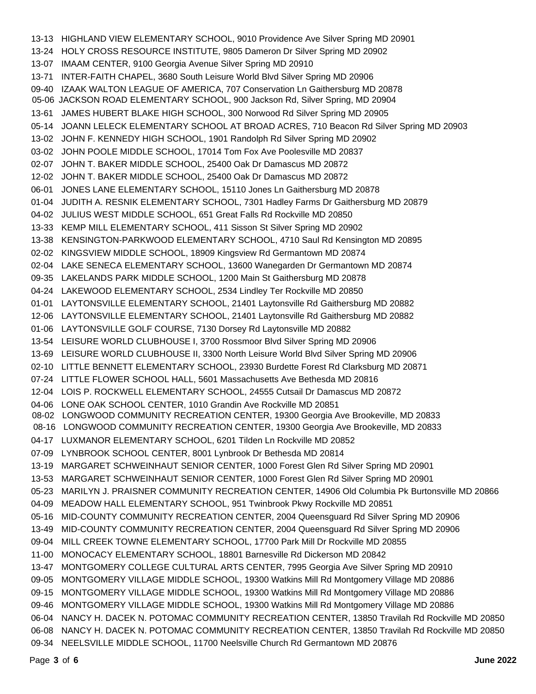13-13 HIGHLAND VIEW ELEMENTARY SCHOOL, 9010 Providence Ave Silver Spring MD 20901 13-24 HOLY CROSS RESOURCE INSTITUTE, 9805 Dameron Dr Silver Spring MD 20902 13-07 IMAAM CENTER, 9100 Georgia Avenue Silver Spring MD 20910 13-71 INTER-FAITH CHAPEL, 3680 South Leisure World Blvd Silver Spring MD 20906 09-40 IZAAK WALTON LEAGUE OF AMERICA, 707 Conservation Ln Gaithersburg MD 20878 05-06 JACKSON ROAD ELEMENTARY SCHOOL, 900 Jackson Rd, Silver Spring, MD 20904 13-61 JAMES HUBERT BLAKE HIGH SCHOOL, 300 Norwood Rd Silver Spring MD 20905 05-14 JOANN LELECK ELEMENTARY SCHOOL AT BROAD ACRES, 710 Beacon Rd Silver Spring MD 20903 13-02 JOHN F. KENNEDY HIGH SCHOOL, 1901 Randolph Rd Silver Spring MD 20902 03-02 JOHN POOLE MIDDLE SCHOOL, 17014 Tom Fox Ave Poolesville MD 20837 02-07 JOHN T. BAKER MIDDLE SCHOOL, 25400 Oak Dr Damascus MD 20872 12-02 JOHN T. BAKER MIDDLE SCHOOL, 25400 Oak Dr Damascus MD 20872 06-01 JONES LANE ELEMENTARY SCHOOL, 15110 Jones Ln Gaithersburg MD 20878 01-04 JUDITH A. RESNIK ELEMENTARY SCHOOL, 7301 Hadley Farms Dr Gaithersburg MD 20879 04-02 JULIUS WEST MIDDLE SCHOOL, 651 Great Falls Rd Rockville MD 20850 13-33 KEMP MILL ELEMENTARY SCHOOL, 411 Sisson St Silver Spring MD 20902 13-38 KENSINGTON-PARKWOOD ELEMENTARY SCHOOL, 4710 Saul Rd Kensington MD 20895 02-02 KINGSVIEW MIDDLE SCHOOL, 18909 Kingsview Rd Germantown MD 20874 02-04 LAKE SENECA ELEMENTARY SCHOOL, 13600 Wanegarden Dr Germantown MD 20874 09-35 LAKELANDS PARK MIDDLE SCHOOL, 1200 Main St Gaithersburg MD 20878 04-24 LAKEWOOD ELEMENTARY SCHOOL, 2534 Lindley Ter Rockville MD 20850 01-01 LAYTONSVILLE ELEMENTARY SCHOOL, 21401 Laytonsville Rd Gaithersburg MD 20882 12-06 LAYTONSVILLE ELEMENTARY SCHOOL, 21401 Laytonsville Rd Gaithersburg MD 20882 01-06 LAYTONSVILLE GOLF COURSE, 7130 Dorsey Rd Laytonsville MD 20882 13-54 LEISURE WORLD CLUBHOUSE I, 3700 Rossmoor Blvd Silver Spring MD 20906 13-69 LEISURE WORLD CLUBHOUSE II, 3300 North Leisure World Blvd Silver Spring MD 20906 02-10 LITTLE BENNETT ELEMENTARY SCHOOL, 23930 Burdette Forest Rd Clarksburg MD 20871 07-24 LITTLE FLOWER SCHOOL HALL, 5601 Massachusetts Ave Bethesda MD 20816 12-04 LOIS P. ROCKWELL ELEMENTARY SCHOOL, 24555 Cutsail Dr Damascus MD 20872 04-06 LONE OAK SCHOOL CENTER, 1010 Grandin Ave Rockville MD 20851 08-02 LONGWOOD COMMUNITY RECREATION CENTER, 19300 Georgia Ave Brookeville, MD 20833 08-16 LONGWOOD COMMUNITY RECREATION CENTER, 19300 Georgia Ave Brookeville, MD 20833 04-17 LUXMANOR ELEMENTARY SCHOOL, 6201 Tilden Ln Rockville MD 20852 07-09 LYNBROOK SCHOOL CENTER, 8001 Lynbrook Dr Bethesda MD 20814 13-19 MARGARET SCHWEINHAUT SENIOR CENTER, 1000 Forest Glen Rd Silver Spring MD 20901 13-53 MARGARET SCHWEINHAUT SENIOR CENTER, 1000 Forest Glen Rd Silver Spring MD 20901 05-23 MARILYN J. PRAISNER COMMUNITY RECREATION CENTER, 14906 Old Columbia Pk Burtonsville MD 20866 04-09 MEADOW HALL ELEMENTARY SCHOOL, 951 Twinbrook Pkwy Rockville MD 20851 05-16 MID-COUNTY COMMUNITY RECREATION CENTER, 2004 Queensguard Rd Silver Spring MD 20906 13-49 MID-COUNTY COMMUNITY RECREATION CENTER, 2004 Queensguard Rd Silver Spring MD 20906 09-04 MILL CREEK TOWNE ELEMENTARY SCHOOL, 17700 Park Mill Dr Rockville MD 20855 11-00 MONOCACY ELEMENTARY SCHOOL, 18801 Barnesville Rd Dickerson MD 20842 13-47 MONTGOMERY COLLEGE CULTURAL ARTS CENTER, 7995 Georgia Ave Silver Spring MD 20910 09-05 MONTGOMERY VILLAGE MIDDLE SCHOOL, 19300 Watkins Mill Rd Montgomery Village MD 20886 09-15 MONTGOMERY VILLAGE MIDDLE SCHOOL, 19300 Watkins Mill Rd Montgomery Village MD 20886 09-46 MONTGOMERY VILLAGE MIDDLE SCHOOL, 19300 Watkins Mill Rd Montgomery Village MD 20886 06-04 NANCY H. DACEK N. POTOMAC COMMUNITY RECREATION CENTER, 13850 Travilah Rd Rockville MD 20850 06-08 NANCY H. DACEK N. POTOMAC COMMUNITY RECREATION CENTER, 13850 Travilah Rd Rockville MD 20850 09-34 NEELSVILLE MIDDLE SCHOOL, 11700 Neelsville Church Rd Germantown MD 20876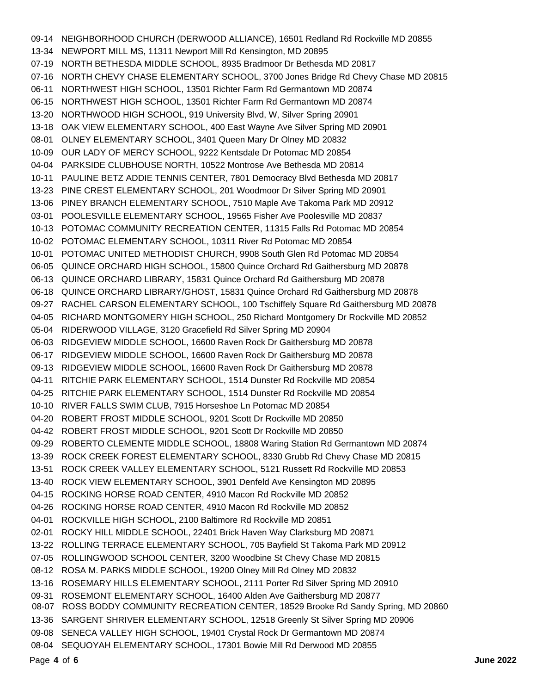09-14 NEIGHBORHOOD CHURCH (DERWOOD ALLIANCE), 16501 Redland Rd Rockville MD 20855 13-34 NEWPORT MILL MS, 11311 Newport Mill Rd Kensington, MD 20895 07-19 NORTH BETHESDA MIDDLE SCHOOL, 8935 Bradmoor Dr Bethesda MD 20817 07-16 NORTH CHEVY CHASE ELEMENTARY SCHOOL, 3700 Jones Bridge Rd Chevy Chase MD 20815 06-11 NORTHWEST HIGH SCHOOL, 13501 Richter Farm Rd Germantown MD 20874 06-15 NORTHWEST HIGH SCHOOL, 13501 Richter Farm Rd Germantown MD 20874 13-20 NORTHWOOD HIGH SCHOOL, 919 University Blvd, W, Silver Spring 20901 13-18 OAK VIEW ELEMENTARY SCHOOL, 400 East Wayne Ave Silver Spring MD 20901 08-01 OLNEY ELEMENTARY SCHOOL, 3401 Queen Mary Dr Olney MD 20832 10-09 OUR LADY OF MERCY SCHOOL, 9222 Kentsdale Dr Potomac MD 20854 04-04 PARKSIDE CLUBHOUSE NORTH, 10522 Montrose Ave Bethesda MD 20814 10-11 PAULINE BETZ ADDIE TENNIS CENTER, 7801 Democracy Blvd Bethesda MD 20817 13-23 PINE CREST ELEMENTARY SCHOOL, 201 Woodmoor Dr Silver Spring MD 20901 13-06 PINEY BRANCH ELEMENTARY SCHOOL, 7510 Maple Ave Takoma Park MD 20912 03-01 POOLESVILLE ELEMENTARY SCHOOL, 19565 Fisher Ave Poolesville MD 20837 10-13 POTOMAC COMMUNITY RECREATION CENTER, 11315 Falls Rd Potomac MD 20854 10-02 POTOMAC ELEMENTARY SCHOOL, 10311 River Rd Potomac MD 20854 10-01 POTOMAC UNITED METHODIST CHURCH, 9908 South Glen Rd Potomac MD 20854 06-05 QUINCE ORCHARD HIGH SCHOOL, 15800 Quince Orchard Rd Gaithersburg MD 20878 06-13 QUINCE ORCHARD LIBRARY, 15831 Quince Orchard Rd Gaithersburg MD 20878 06-18 QUINCE ORCHARD LIBRARY/GHOST, 15831 Quince Orchard Rd Gaithersburg MD 20878 09-27 RACHEL CARSON ELEMENTARY SCHOOL, 100 Tschiffely Square Rd Gaithersburg MD 20878 04-05 RICHARD MONTGOMERY HIGH SCHOOL, 250 Richard Montgomery Dr Rockville MD 20852 05-04 RIDERWOOD VILLAGE, 3120 Gracefield Rd Silver Spring MD 20904 06-03 RIDGEVIEW MIDDLE SCHOOL, 16600 Raven Rock Dr Gaithersburg MD 20878 06-17 RIDGEVIEW MIDDLE SCHOOL, 16600 Raven Rock Dr Gaithersburg MD 20878 09-13 RIDGEVIEW MIDDLE SCHOOL, 16600 Raven Rock Dr Gaithersburg MD 20878 04-11 RITCHIE PARK ELEMENTARY SCHOOL, 1514 Dunster Rd Rockville MD 20854 04-25 RITCHIE PARK ELEMENTARY SCHOOL, 1514 Dunster Rd Rockville MD 20854 10-10 RIVER FALLS SWIM CLUB, 7915 Horseshoe Ln Potomac MD 20854 04-20 ROBERT FROST MIDDLE SCHOOL, 9201 Scott Dr Rockville MD 20850 04-42 ROBERT FROST MIDDLE SCHOOL, 9201 Scott Dr Rockville MD 20850 09-29 ROBERTO CLEMENTE MIDDLE SCHOOL, 18808 Waring Station Rd Germantown MD 20874 13-39 ROCK CREEK FOREST ELEMENTARY SCHOOL, 8330 Grubb Rd Chevy Chase MD 20815 13-51 ROCK CREEK VALLEY ELEMENTARY SCHOOL, 5121 Russett Rd Rockville MD 20853 13-40 ROCK VIEW ELEMENTARY SCHOOL, 3901 Denfeld Ave Kensington MD 20895 04-15 ROCKING HORSE ROAD CENTER, 4910 Macon Rd Rockville MD 20852 04-26 ROCKING HORSE ROAD CENTER, 4910 Macon Rd Rockville MD 20852 04-01 ROCKVILLE HIGH SCHOOL, 2100 Baltimore Rd Rockville MD 20851 02-01 ROCKY HILL MIDDLE SCHOOL, 22401 Brick Haven Way Clarksburg MD 20871 13-22 ROLLING TERRACE ELEMENTARY SCHOOL, 705 Bayfield St Takoma Park MD 20912 07-05 ROLLINGWOOD SCHOOL CENTER, 3200 Woodbine St Chevy Chase MD 20815 08-12 ROSA M. PARKS MIDDLE SCHOOL, 19200 Olney Mill Rd Olney MD 20832 13-16 ROSEMARY HILLS ELEMENTARY SCHOOL, 2111 Porter Rd Silver Spring MD 20910 09-31 ROSEMONT ELEMENTARY SCHOOL, 16400 Alden Ave Gaithersburg MD 20877 08-07 ROSS BODDY COMMUNITY RECREATION CENTER, 18529 Brooke Rd Sandy Spring, MD 20860 13-36 SARGENT SHRIVER ELEMENTARY SCHOOL, 12518 Greenly St Silver Spring MD 20906 09-08 SENECA VALLEY HIGH SCHOOL, 19401 Crystal Rock Dr Germantown MD 20874 08-04 SEQUOYAH ELEMENTARY SCHOOL, 17301 Bowie Mill Rd Derwood MD 20855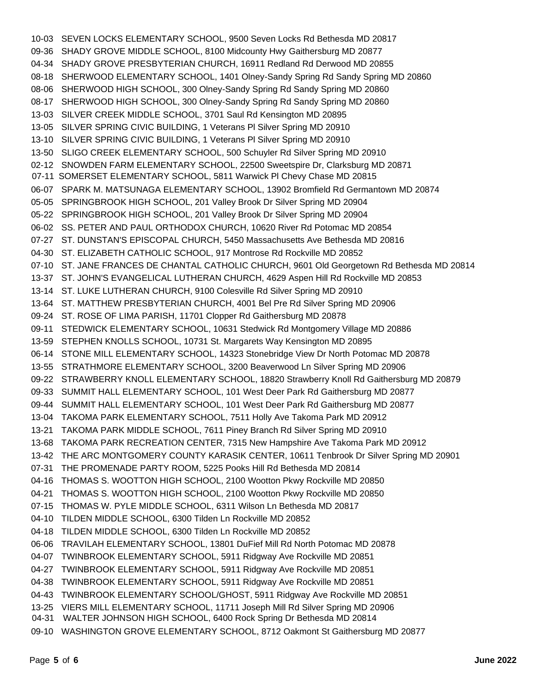10-03 SEVEN LOCKS ELEMENTARY SCHOOL, 9500 Seven Locks Rd Bethesda MD 20817 09-36 SHADY GROVE MIDDLE SCHOOL, 8100 Midcounty Hwy Gaithersburg MD 20877 04-34 SHADY GROVE PRESBYTERIAN CHURCH, 16911 Redland Rd Derwood MD 20855 08-18 SHERWOOD ELEMENTARY SCHOOL, 1401 Olney-Sandy Spring Rd Sandy Spring MD 20860 08-06 SHERWOOD HIGH SCHOOL, 300 Olney-Sandy Spring Rd Sandy Spring MD 20860 08-17 SHERWOOD HIGH SCHOOL, 300 Olney-Sandy Spring Rd Sandy Spring MD 20860 13-03 SILVER CREEK MIDDLE SCHOOL, 3701 Saul Rd Kensington MD 20895 13-05 SILVER SPRING CIVIC BUILDING, 1 Veterans Pl Silver Spring MD 20910 13-10 SILVER SPRING CIVIC BUILDING, 1 Veterans Pl Silver Spring MD 20910 13-50 SLIGO CREEK ELEMENTARY SCHOOL, 500 Schuyler Rd Silver Spring MD 20910 02-12 SNOWDEN FARM ELEMENTARY SCHOOL, 22500 Sweetspire Dr, Clarksburg MD 20871 07-11 SOMERSET ELEMENTARY SCHOOL, 5811 Warwick Pl Chevy Chase MD 20815 06-07 SPARK M. MATSUNAGA ELEMENTARY SCHOOL, 13902 Bromfield Rd Germantown MD 20874 05-05 SPRINGBROOK HIGH SCHOOL, 201 Valley Brook Dr Silver Spring MD 20904 05-22 SPRINGBROOK HIGH SCHOOL, 201 Valley Brook Dr Silver Spring MD 20904 06-02 SS. PETER AND PAUL ORTHODOX CHURCH, 10620 River Rd Potomac MD 20854 07-27 ST. DUNSTAN'S EPISCOPAL CHURCH, 5450 Massachusetts Ave Bethesda MD 20816 04-30 ST. ELIZABETH CATHOLIC SCHOOL, 917 Montrose Rd Rockville MD 20852 07-10 ST. JANE FRANCES DE CHANTAL CATHOLIC CHURCH, 9601 Old Georgetown Rd Bethesda MD 20814 13-37 ST. JOHN'S EVANGELICAL LUTHERAN CHURCH, 4629 Aspen Hill Rd Rockville MD 20853 13-14 ST. LUKE LUTHERAN CHURCH, 9100 Colesville Rd Silver Spring MD 20910 13-64 ST. MATTHEW PRESBYTERIAN CHURCH, 4001 Bel Pre Rd Silver Spring MD 20906 09-24 ST. ROSE OF LIMA PARISH, 11701 Clopper Rd Gaithersburg MD 20878 09-11 STEDWICK ELEMENTARY SCHOOL, 10631 Stedwick Rd Montgomery Village MD 20886 13-59 STEPHEN KNOLLS SCHOOL, 10731 St. Margarets Way Kensington MD 20895 06-14 STONE MILL ELEMENTARY SCHOOL, 14323 Stonebridge View Dr North Potomac MD 20878 13-55 STRATHMORE ELEMENTARY SCHOOL, 3200 Beaverwood Ln Silver Spring MD 20906 09-22 STRAWBERRY KNOLL ELEMENTARY SCHOOL, 18820 Strawberry Knoll Rd Gaithersburg MD 20879 09-33 SUMMIT HALL ELEMENTARY SCHOOL, 101 West Deer Park Rd Gaithersburg MD 20877 09-44 SUMMIT HALL ELEMENTARY SCHOOL, 101 West Deer Park Rd Gaithersburg MD 20877 13-04 TAKOMA PARK ELEMENTARY SCHOOL, 7511 Holly Ave Takoma Park MD 20912 13-21 TAKOMA PARK MIDDLE SCHOOL, 7611 Piney Branch Rd Silver Spring MD 20910 13-68 TAKOMA PARK RECREATION CENTER, 7315 New Hampshire Ave Takoma Park MD 20912 13-42 THE ARC MONTGOMERY COUNTY KARASIK CENTER, 10611 Tenbrook Dr Silver Spring MD 20901 07-31 THE PROMENADE PARTY ROOM, 5225 Pooks Hill Rd Bethesda MD 20814 04-16 THOMAS S. WOOTTON HIGH SCHOOL, 2100 Wootton Pkwy Rockville MD 20850 04-21 THOMAS S. WOOTTON HIGH SCHOOL, 2100 Wootton Pkwy Rockville MD 20850 07-15 THOMAS W. PYLE MIDDLE SCHOOL, 6311 Wilson Ln Bethesda MD 20817 04-10 TILDEN MIDDLE SCHOOL, 6300 Tilden Ln Rockville MD 20852 04-18 TILDEN MIDDLE SCHOOL, 6300 Tilden Ln Rockville MD 20852 06-06 TRAVILAH ELEMENTARY SCHOOL, 13801 DuFief Mill Rd North Potomac MD 20878 04-07 TWINBROOK ELEMENTARY SCHOOL, 5911 Ridgway Ave Rockville MD 20851 04-27 TWINBROOK ELEMENTARY SCHOOL, 5911 Ridgway Ave Rockville MD 20851 04-38 TWINBROOK ELEMENTARY SCHOOL, 5911 Ridgway Ave Rockville MD 20851 04-43 TWINBROOK ELEMENTARY SCHOOL/GHOST, 5911 Ridgway Ave Rockville MD 20851 13-25 VIERS MILL ELEMENTARY SCHOOL, 11711 Joseph Mill Rd Silver Spring MD 20906 04-31 WALTER JOHNSON HIGH SCHOOL, 6400 Rock Spring Dr Bethesda MD 20814 09-10 WASHINGTON GROVE ELEMENTARY SCHOOL, 8712 Oakmont St Gaithersburg MD 20877